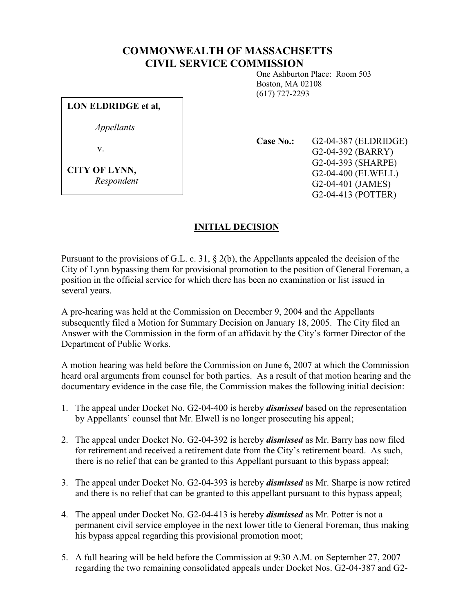## COMMONWEALTH OF MASSACHSETTS CIVIL SERVICE COMMISSION

 One Ashburton Place: Room 503 Boston, MA 02108 (617) 727-2293

LON ELDRIDGE et al,

Appellants

v.

CITY OF LYNN, Respondent Case No.: G2-04-387 (ELDRIDGE) G2-04-392 (BARRY) G2-04-393 (SHARPE) G2-04-400 (ELWELL) G2-04-401 (JAMES)

G2-04-413 (POTTER)

## INITIAL DECISION

Pursuant to the provisions of G.L. c. 31, § 2(b), the Appellants appealed the decision of the City of Lynn bypassing them for provisional promotion to the position of General Foreman, a position in the official service for which there has been no examination or list issued in several years.

A pre-hearing was held at the Commission on December 9, 2004 and the Appellants subsequently filed a Motion for Summary Decision on January 18, 2005. The City filed an Answer with the Commission in the form of an affidavit by the City's former Director of the Department of Public Works.

A motion hearing was held before the Commission on June 6, 2007 at which the Commission heard oral arguments from counsel for both parties. As a result of that motion hearing and the documentary evidence in the case file, the Commission makes the following initial decision:

- 1. The appeal under Docket No. G2-04-400 is hereby dismissed based on the representation by Appellants' counsel that Mr. Elwell is no longer prosecuting his appeal;
- 2. The appeal under Docket No. G2-04-392 is hereby *dismissed* as Mr. Barry has now filed for retirement and received a retirement date from the City's retirement board. As such, there is no relief that can be granted to this Appellant pursuant to this bypass appeal;
- 3. The appeal under Docket No. G2-04-393 is hereby *dismissed* as Mr. Sharpe is now retired and there is no relief that can be granted to this appellant pursuant to this bypass appeal;
- 4. The appeal under Docket No. G2-04-413 is hereby *dismissed* as Mr. Potter is not a permanent civil service employee in the next lower title to General Foreman, thus making his bypass appeal regarding this provisional promotion moot;
- 5. A full hearing will be held before the Commission at 9:30 A.M. on September 27, 2007 regarding the two remaining consolidated appeals under Docket Nos. G2-04-387 and G2-